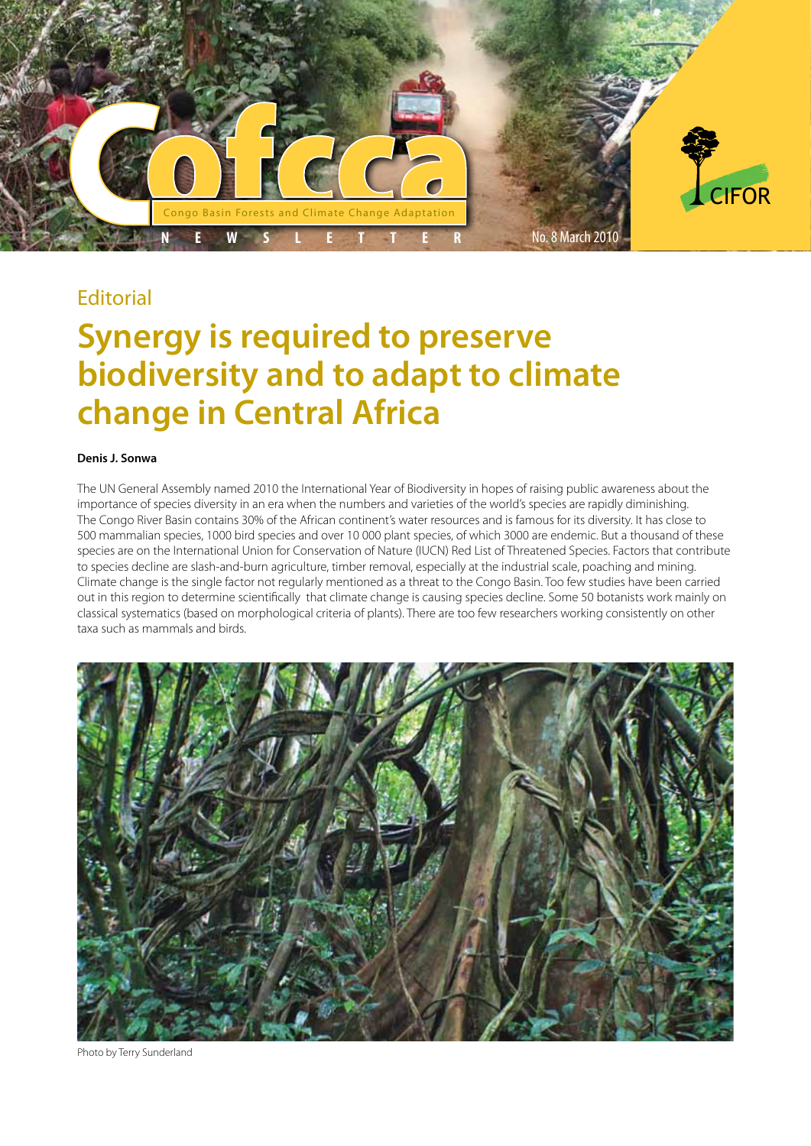

# **Editorial**

# **Synergy is required to preserve biodiversity and to adapt to climate change in Central Africa**

### **Denis J. Sonwa**

The UN General Assembly named 2010 the International Year of Biodiversity in hopes of raising public awareness about the importance of species diversity in an era when the numbers and varieties of the world's species are rapidly diminishing. The Congo River Basin contains 30% of the African continent's water resources and is famous for its diversity. It has close to 500 mammalian species, 1000 bird species and over 10 000 plant species, of which 3000 are endemic. But a thousand of these species are on the International Union for Conservation of Nature (IUCN) Red List of Threatened Species. Factors that contribute to species decline are slash-and-burn agriculture, timber removal, especially at the industrial scale, poaching and mining. Climate change is the single factor not regularly mentioned as a threat to the Congo Basin. Too few studies have been carried out in this region to determine scientifically that climate change is causing species decline. Some 50 botanists work mainly on classical systematics (based on morphological criteria of plants). There are too few researchers working consistently on other taxa such as mammals and birds.



Photo by Terry Sunderland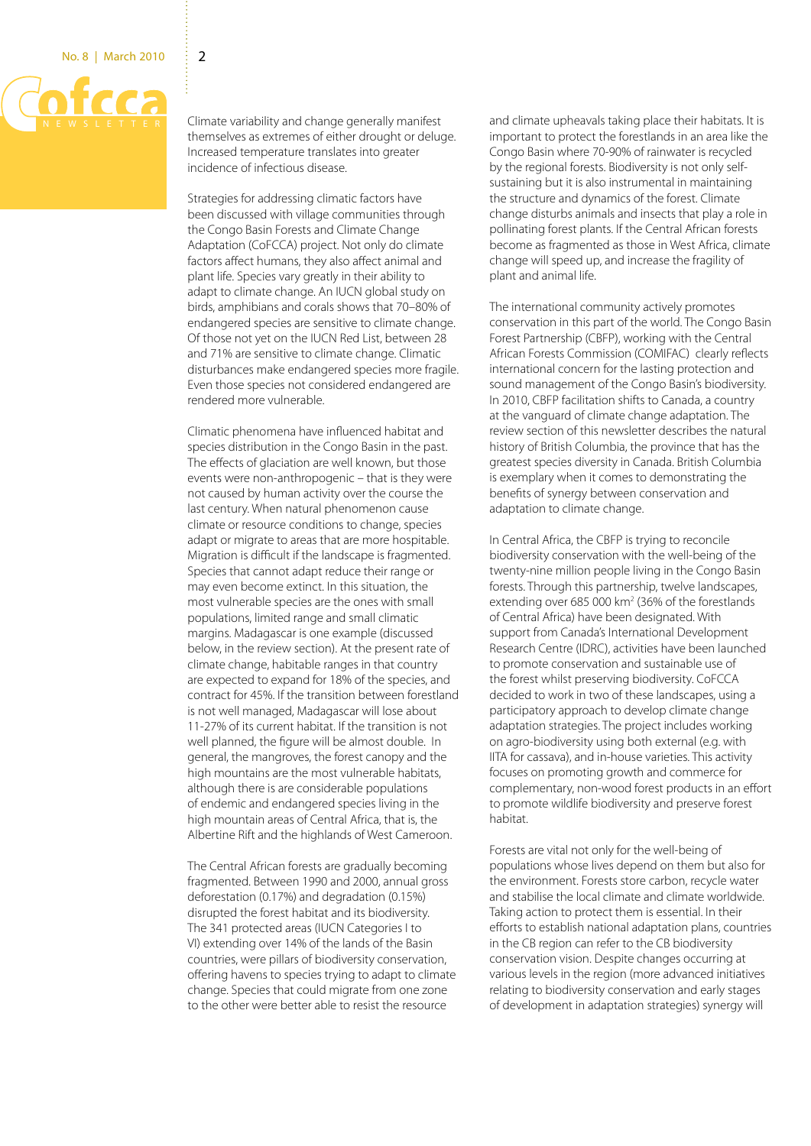

Climate variability and change generally manifest themselves as extremes of either drought or deluge. Increased temperature translates into greater incidence of infectious disease.

Strategies for addressing climatic factors have been discussed with village communities through the Congo Basin Forests and Climate Change Adaptation (CoFCCA) project. Not only do climate factors affect humans, they also affect animal and plant life. Species vary greatly in their ability to adapt to climate change. An IUCN global study on birds, amphibians and corals shows that 70–80% of endangered species are sensitive to climate change. Of those not yet on the IUCN Red List, between 28 and 71% are sensitive to climate change. Climatic disturbances make endangered species more fragile. Even those species not considered endangered are rendered more vulnerable.

Climatic phenomena have influenced habitat and species distribution in the Congo Basin in the past. The effects of glaciation are well known, but those events were non-anthropogenic – that is they were not caused by human activity over the course the last century. When natural phenomenon cause climate or resource conditions to change, species adapt or migrate to areas that are more hospitable. Migration is difficult if the landscape is fragmented. Species that cannot adapt reduce their range or may even become extinct. In this situation, the most vulnerable species are the ones with small populations, limited range and small climatic margins. Madagascar is one example (discussed below, in the review section). At the present rate of climate change, habitable ranges in that country are expected to expand for 18% of the species, and contract for 45%. If the transition between forestland is not well managed, Madagascar will lose about 11-27% of its current habitat. If the transition is not well planned, the figure will be almost double. In general, the mangroves, the forest canopy and the high mountains are the most vulnerable habitats, although there is are considerable populations of endemic and endangered species living in the high mountain areas of Central Africa, that is, the Albertine Rift and the highlands of West Cameroon.

The Central African forests are gradually becoming fragmented. Between 1990 and 2000, annual gross deforestation (0.17%) and degradation (0.15%) disrupted the forest habitat and its biodiversity. The 341 protected areas (IUCN Categories I to VI) extending over 14% of the lands of the Basin countries, were pillars of biodiversity conservation, offering havens to species trying to adapt to climate change. Species that could migrate from one zone to the other were better able to resist the resource

and climate upheavals taking place their habitats. It is important to protect the forestlands in an area like the Congo Basin where 70-90% of rainwater is recycled by the regional forests. Biodiversity is not only selfsustaining but it is also instrumental in maintaining the structure and dynamics of the forest. Climate change disturbs animals and insects that play a role in pollinating forest plants. If the Central African forests become as fragmented as those in West Africa, climate change will speed up, and increase the fragility of plant and animal life.

The international community actively promotes conservation in this part of the world. The Congo Basin Forest Partnership (CBFP), working with the Central African Forests Commission (COMIFAC) clearly reflects international concern for the lasting protection and sound management of the Congo Basin's biodiversity. In 2010, CBFP facilitation shifts to Canada, a country at the vanguard of climate change adaptation. The review section of this newsletter describes the natural history of British Columbia, the province that has the greatest species diversity in Canada. British Columbia is exemplary when it comes to demonstrating the benefits of synergy between conservation and adaptation to climate change.

In Central Africa, the CBFP is trying to reconcile biodiversity conservation with the well-being of the twenty-nine million people living in the Congo Basin forests. Through this partnership, twelve landscapes, extending over 685 000  $km^2$  (36% of the forestlands of Central Africa) have been designated. With support from Canada's International Development Research Centre (IDRC), activities have been launched to promote conservation and sustainable use of the forest whilst preserving biodiversity. CoFCCA decided to work in two of these landscapes, using a participatory approach to develop climate change adaptation strategies. The project includes working on agro-biodiversity using both external (e.g. with IITA for cassava), and in-house varieties. This activity focuses on promoting growth and commerce for complementary, non-wood forest products in an effort to promote wildlife biodiversity and preserve forest habitat.

Forests are vital not only for the well-being of populations whose lives depend on them but also for the environment. Forests store carbon, recycle water and stabilise the local climate and climate worldwide. Taking action to protect them is essential. In their efforts to establish national adaptation plans, countries in the CB region can refer to the CB biodiversity conservation vision. Despite changes occurring at various levels in the region (more advanced initiatives relating to biodiversity conservation and early stages of development in adaptation strategies) synergy will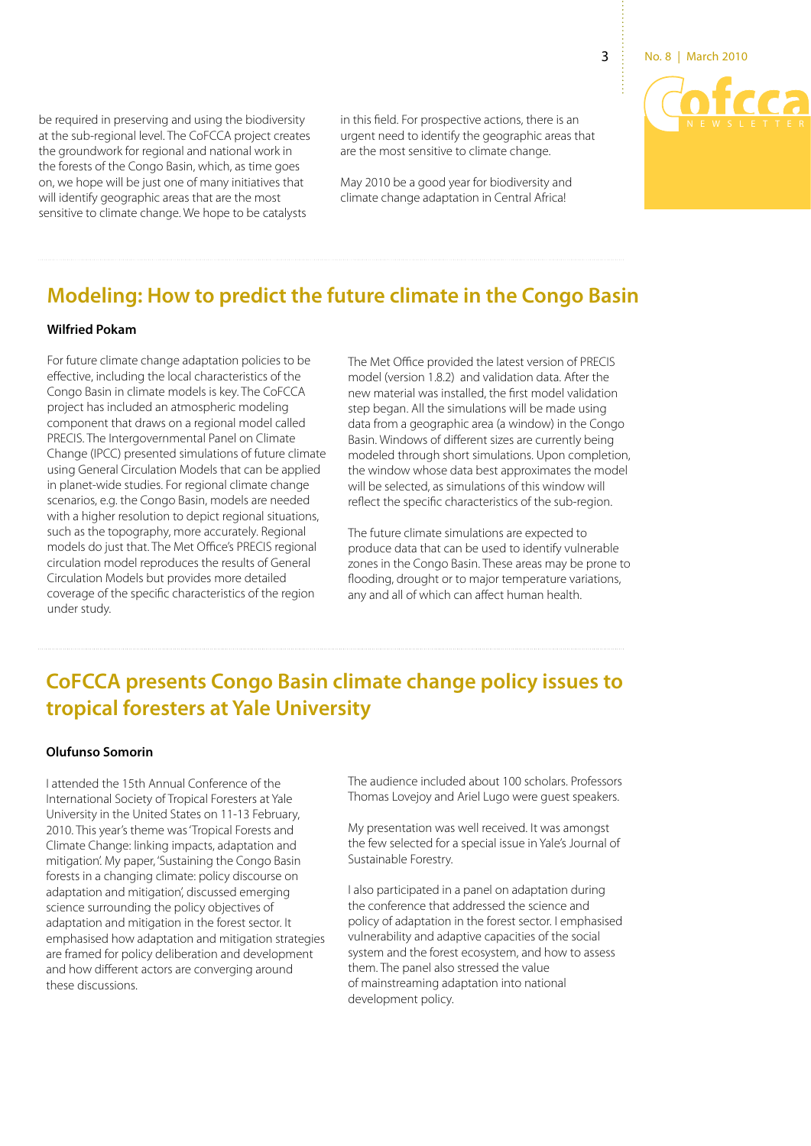

be required in preserving and using the biodiversity at the sub-regional level. The CoFCCA project creates the groundwork for regional and national work in the forests of the Congo Basin, which, as time goes on, we hope will be just one of many initiatives that will identify geographic areas that are the most sensitive to climate change. We hope to be catalysts

in this field. For prospective actions, there is an urgent need to identify the geographic areas that are the most sensitive to climate change.

May 2010 be a good year for biodiversity and climate change adaptation in Central Africa!

# **Modeling: How to predict the future climate in the Congo Basin**

### **Wilfried Pokam**

For future climate change adaptation policies to be effective, including the local characteristics of the Congo Basin in climate models is key. The CoFCCA project has included an atmospheric modeling component that draws on a regional model called PRECIS. The Intergovernmental Panel on Climate Change (IPCC) presented simulations of future climate using General Circulation Models that can be applied in planet-wide studies. For regional climate change scenarios, e.g. the Congo Basin, models are needed with a higher resolution to depict regional situations, such as the topography, more accurately. Regional models do just that. The Met Office's PRECIS regional circulation model reproduces the results of General Circulation Models but provides more detailed coverage of the specific characteristics of the region under study.

The Met Office provided the latest version of PRECIS model (version 1.8.2) and validation data. After the new material was installed, the first model validation step began. All the simulations will be made using data from a geographic area (a window) in the Congo Basin. Windows of different sizes are currently being modeled through short simulations. Upon completion, the window whose data best approximates the model will be selected, as simulations of this window will reflect the specific characteristics of the sub-region.

The future climate simulations are expected to produce data that can be used to identify vulnerable zones in the Congo Basin. These areas may be prone to flooding, drought or to major temperature variations, any and all of which can affect human health.

# **CoFCCA presents Congo Basin climate change policy issues to tropical foresters at Yale University**

### **Olufunso Somorin**

I attended the 15th Annual Conference of the International Society of Tropical Foresters at Yale University in the United States on 11-13 February, 2010. This year's theme was 'Tropical Forests and Climate Change: linking impacts, adaptation and mitigation'. My paper, 'Sustaining the Congo Basin forests in a changing climate: policy discourse on adaptation and mitigation', discussed emerging science surrounding the policy objectives of adaptation and mitigation in the forest sector. It emphasised how adaptation and mitigation strategies are framed for policy deliberation and development and how different actors are converging around these discussions.

The audience included about 100 scholars. Professors Thomas Lovejoy and Ariel Lugo were guest speakers.

My presentation was well received. It was amongst the few selected for a special issue in Yale's Journal of Sustainable Forestry.

I also participated in a panel on adaptation during the conference that addressed the science and policy of adaptation in the forest sector. I emphasised vulnerability and adaptive capacities of the social system and the forest ecosystem, and how to assess them. The panel also stressed the value of mainstreaming adaptation into national development policy.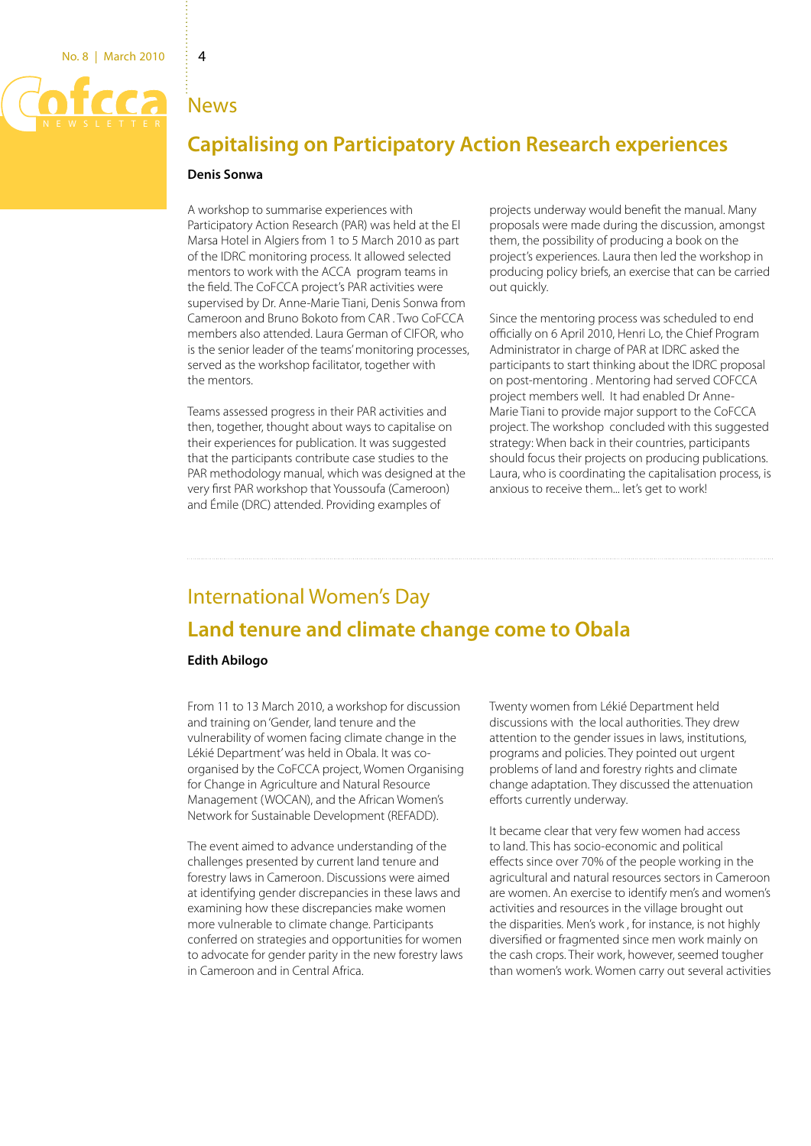## News

# **Capitalising on Participatory Action Research experiences**

### **Denis Sonwa**

A workshop to summarise experiences with Participatory Action Research (PAR) was held at the El Marsa Hotel in Algiers from 1 to 5 March 2010 as part of the IDRC monitoring process. It allowed selected mentors to work with the ACCA program teams in the field. The CoFCCA project's PAR activities were supervised by Dr. Anne-Marie Tiani, Denis Sonwa from Cameroon and Bruno Bokoto from CAR . Two CoFCCA members also attended. Laura German of CIFOR, who is the senior leader of the teams' monitoring processes, served as the workshop facilitator, together with the mentors.

Teams assessed progress in their PAR activities and then, together, thought about ways to capitalise on their experiences for publication. It was suggested that the participants contribute case studies to the PAR methodology manual, which was designed at the very first PAR workshop that Youssoufa (Cameroon) and Émile (DRC) attended. Providing examples of

projects underway would benefit the manual. Many proposals were made during the discussion, amongst them, the possibility of producing a book on the project's experiences. Laura then led the workshop in producing policy briefs, an exercise that can be carried out quickly.

Since the mentoring process was scheduled to end officially on 6 April 2010, Henri Lo, the Chief Program Administrator in charge of PAR at IDRC asked the participants to start thinking about the IDRC proposal on post-mentoring . Mentoring had served COFCCA project members well. It had enabled Dr Anne-Marie Tiani to provide major support to the CoFCCA project. The workshop concluded with this suggested strategy: When back in their countries, participants should focus their projects on producing publications. Laura, who is coordinating the capitalisation process, is anxious to receive them... let's get to work!

# International Women's Day **Land tenure and climate change come to Obala**

### **Edith Abilogo**

From 11 to 13 March 2010, a workshop for discussion and training on 'Gender, land tenure and the vulnerability of women facing climate change in the Lékié Department' was held in Obala. It was coorganised by the CoFCCA project, Women Organising for Change in Agriculture and Natural Resource Management (WOCAN), and the African Women's Network for Sustainable Development (REFADD).

The event aimed to advance understanding of the challenges presented by current land tenure and forestry laws in Cameroon. Discussions were aimed at identifying gender discrepancies in these laws and examining how these discrepancies make women more vulnerable to climate change. Participants conferred on strategies and opportunities for women to advocate for gender parity in the new forestry laws in Cameroon and in Central Africa.

Twenty women from Lékié Department held discussions with the local authorities. They drew attention to the gender issues in laws, institutions, programs and policies. They pointed out urgent problems of land and forestry rights and climate change adaptation. They discussed the attenuation efforts currently underway.

It became clear that very few women had access to land. This has socio-economic and political effects since over 70% of the people working in the agricultural and natural resources sectors in Cameroon are women. An exercise to identify men's and women's activities and resources in the village brought out the disparities. Men's work , for instance, is not highly diversified or fragmented since men work mainly on the cash crops. Their work, however, seemed tougher than women's work. Women carry out several activities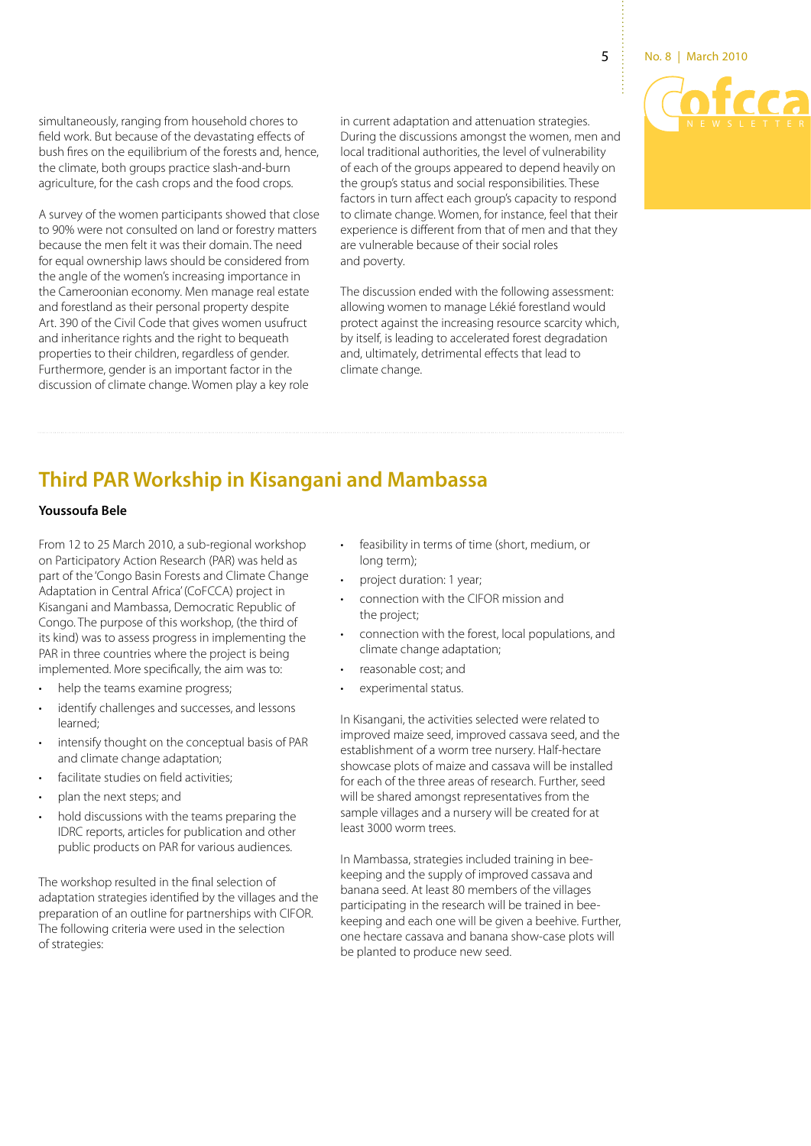simultaneously, ranging from household chores to field work. But because of the devastating effects of bush fires on the equilibrium of the forests and, hence, the climate, both groups practice slash-and-burn agriculture, for the cash crops and the food crops.

A survey of the women participants showed that close to 90% were not consulted on land or forestry matters because the men felt it was their domain. The need for equal ownership laws should be considered from the angle of the women's increasing importance in the Cameroonian economy. Men manage real estate and forestland as their personal property despite Art. 390 of the Civil Code that gives women usufruct and inheritance rights and the right to bequeath properties to their children, regardless of gender. Furthermore, gender is an important factor in the discussion of climate change. Women play a key role

in current adaptation and attenuation strategies. During the discussions amongst the women, men and local traditional authorities, the level of vulnerability of each of the groups appeared to depend heavily on the group's status and social responsibilities. These factors in turn affect each group's capacity to respond to climate change. Women, for instance, feel that their experience is different from that of men and that they are vulnerable because of their social roles and poverty.

The discussion ended with the following assessment: allowing women to manage Lékié forestland would protect against the increasing resource scarcity which, by itself, is leading to accelerated forest degradation and, ultimately, detrimental effects that lead to climate change.

# **Third PAR Workship in Kisangani and Mambassa**

## **Youssoufa Bele**

From 12 to 25 March 2010, a sub-regional workshop on Participatory Action Research (PAR) was held as part of the 'Congo Basin Forests and Climate Change Adaptation in Central Africa' (CoFCCA) project in Kisangani and Mambassa, Democratic Republic of Congo. The purpose of this workshop, (the third of its kind) was to assess progress in implementing the PAR in three countries where the project is being implemented. More specifically, the aim was to:

- help the teams examine progress;
- identify challenges and successes, and lessons learned;
- intensify thought on the conceptual basis of PAR and climate change adaptation;
- facilitate studies on field activities;
- plan the next steps; and
- hold discussions with the teams preparing the IDRC reports, articles for publication and other public products on PAR for various audiences.

The workshop resulted in the final selection of adaptation strategies identified by the villages and the preparation of an outline for partnerships with CIFOR. The following criteria were used in the selection of strategies:

- feasibility in terms of time (short, medium, or long term);
- project duration: 1 year;
- connection with the CIFOR mission and the project;
- connection with the forest, local populations, and climate change adaptation;
- reasonable cost; and
- experimental status.

In Kisangani, the activities selected were related to improved maize seed, improved cassava seed, and the establishment of a worm tree nursery. Half-hectare showcase plots of maize and cassava will be installed for each of the three areas of research. Further, seed will be shared amongst representatives from the sample villages and a nursery will be created for at least 3000 worm trees.

In Mambassa, strategies included training in beekeeping and the supply of improved cassava and banana seed. At least 80 members of the villages participating in the research will be trained in beekeeping and each one will be given a beehive. Further, one hectare cassava and banana show-case plots will be planted to produce new seed.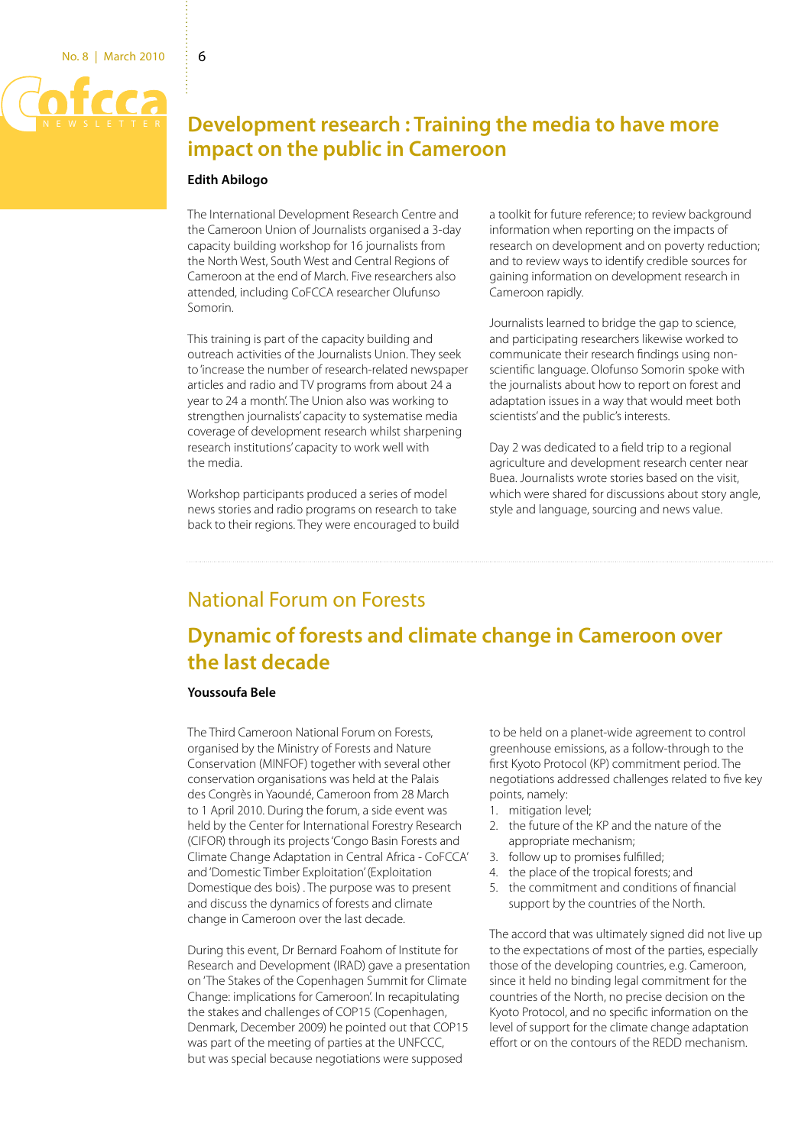

# **Development research : Training the media to have more impact on the public in Cameroon**

### **Edith Abilogo**

The International Development Research Centre and the Cameroon Union of Journalists organised a 3-day capacity building workshop for 16 journalists from the North West, South West and Central Regions of Cameroon at the end of March. Five researchers also attended, including CoFCCA researcher Olufunso Somorin.

This training is part of the capacity building and outreach activities of the Journalists Union. They seek to 'increase the number of research-related newspaper articles and radio and TV programs from about 24 a year to 24 a month'. The Union also was working to strengthen journalists' capacity to systematise media coverage of development research whilst sharpening research institutions' capacity to work well with the media.

Workshop participants produced a series of model news stories and radio programs on research to take back to their regions. They were encouraged to build a toolkit for future reference; to review background information when reporting on the impacts of research on development and on poverty reduction; and to review ways to identify credible sources for gaining information on development research in Cameroon rapidly.

Journalists learned to bridge the gap to science, and participating researchers likewise worked to communicate their research findings using nonscientific language. Olofunso Somorin spoke with the journalists about how to report on forest and adaptation issues in a way that would meet both scientists' and the public's interests.

Day 2 was dedicated to a field trip to a regional agriculture and development research center near Buea. Journalists wrote stories based on the visit, which were shared for discussions about story angle, style and language, sourcing and news value.

# National Forum on Forests

# **Dynamic of forests and climate change in Cameroon over the last decade**

### **Youssoufa Bele**

The Third Cameroon National Forum on Forests, organised by the Ministry of Forests and Nature Conservation (MINFOF) together with several other conservation organisations was held at the Palais des Congrès in Yaoundé, Cameroon from 28 March to 1 April 2010. During the forum, a side event was held by the Center for International Forestry Research (CIFOR) through its projects 'Congo Basin Forests and Climate Change Adaptation in Central Africa - CoFCCA' and 'Domestic Timber Exploitation' (Exploitation Domestique des bois) . The purpose was to present and discuss the dynamics of forests and climate change in Cameroon over the last decade.

During this event, Dr Bernard Foahom of Institute for Research and Development (IRAD) gave a presentation on 'The Stakes of the Copenhagen Summit for Climate Change: implications for Cameroon'. In recapitulating the stakes and challenges of COP15 (Copenhagen, Denmark, December 2009) he pointed out that COP15 was part of the meeting of parties at the UNFCCC, but was special because negotiations were supposed

to be held on a planet-wide agreement to control greenhouse emissions, as a follow-through to the first Kyoto Protocol (KP) commitment period. The negotiations addressed challenges related to five key points, namely:

- 1. mitigation level:
- 2. the future of the KP and the nature of the appropriate mechanism;
- 3. follow up to promises fulfilled;
- 4. the place of the tropical forests; and
- 5. the commitment and conditions of financial support by the countries of the North.

The accord that was ultimately signed did not live up to the expectations of most of the parties, especially those of the developing countries, e.g. Cameroon, since it held no binding legal commitment for the countries of the North, no precise decision on the Kyoto Protocol, and no specific information on the level of support for the climate change adaptation effort or on the contours of the REDD mechanism.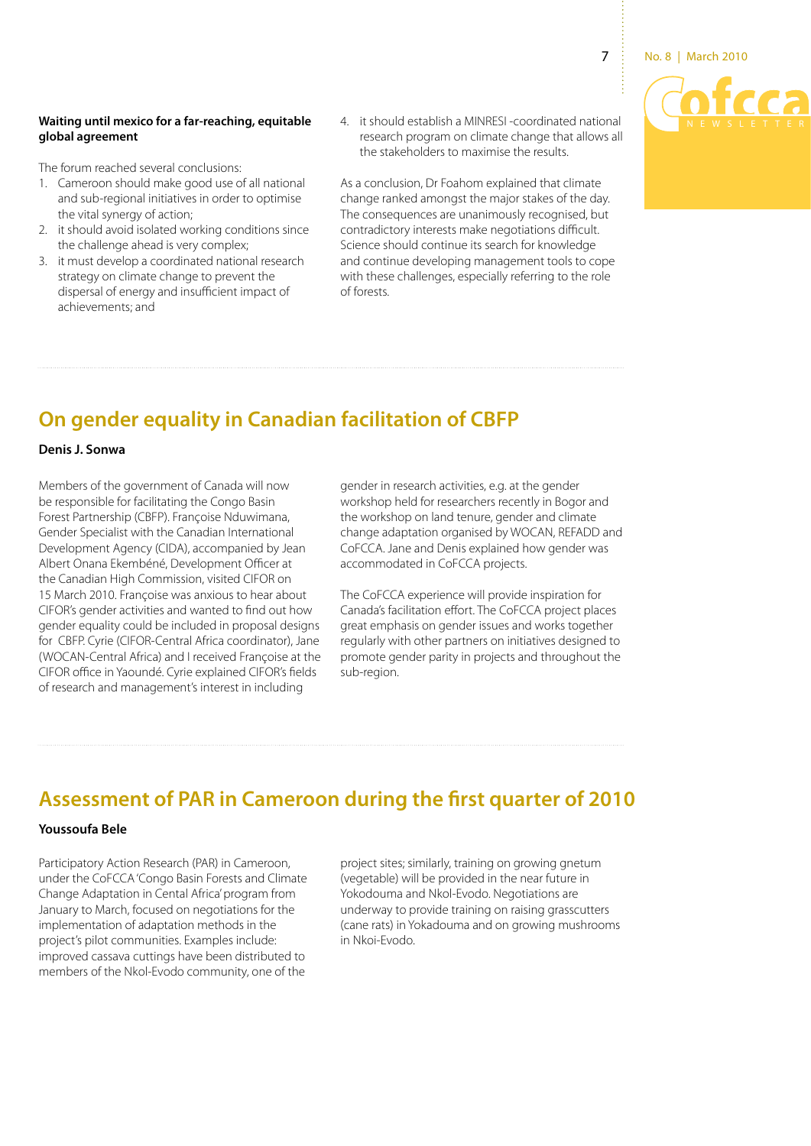

### **Waiting until mexico for a far-reaching, equitable global agreement**

The forum reached several conclusions:

- 1. Cameroon should make good use of all national and sub-regional initiatives in order to optimise the vital synergy of action;
- 2. it should avoid isolated working conditions since the challenge ahead is very complex;
- 3. it must develop a coordinated national research strategy on climate change to prevent the dispersal of energy and insufficient impact of achievements; and
- 4. it should establish a MINRESI -coordinated national research program on climate change that allows all the stakeholders to maximise the results.

As a conclusion, Dr Foahom explained that climate change ranked amongst the major stakes of the day. The consequences are unanimously recognised, but contradictory interests make negotiations difficult. Science should continue its search for knowledge and continue developing management tools to cope with these challenges, especially referring to the role of forests.

# **On gender equality in Canadian facilitation of CBFP**

### **Denis J. Sonwa**

Members of the government of Canada will now be responsible for facilitating the Congo Basin Forest Partnership (CBFP). Françoise Nduwimana, Gender Specialist with the Canadian International Development Agency (CIDA), accompanied by Jean Albert Onana Ekembéné, Development Officer at the Canadian High Commission, visited CIFOR on 15 March 2010. Françoise was anxious to hear about CIFOR's gender activities and wanted to find out how gender equality could be included in proposal designs for CBFP. Cyrie (CIFOR-Central Africa coordinator), Jane (WOCAN-Central Africa) and I received Françoise at the CIFOR office in Yaoundé. Cyrie explained CIFOR's fields of research and management's interest in including

gender in research activities, e.g. at the gender workshop held for researchers recently in Bogor and the workshop on land tenure, gender and climate change adaptation organised by WOCAN, REFADD and CoFCCA. Jane and Denis explained how gender was accommodated in CoFCCA projects.

The CoFCCA experience will provide inspiration for Canada's facilitation effort. The CoFCCA project places great emphasis on gender issues and works together regularly with other partners on initiatives designed to promote gender parity in projects and throughout the sub-region.

# **Assessment of PAR in Cameroon during the first quarter of 2010**

### **Youssoufa Bele**

Participatory Action Research (PAR) in Cameroon, under the CoFCCA 'Congo Basin Forests and Climate Change Adaptation in Cental Africa' program from January to March, focused on negotiations for the implementation of adaptation methods in the project's pilot communities. Examples include: improved cassava cuttings have been distributed to members of the Nkol-Evodo community, one of the

project sites; similarly, training on growing gnetum (vegetable) will be provided in the near future in Yokodouma and Nkol-Evodo. Negotiations are underway to provide training on raising grasscutters (cane rats) in Yokadouma and on growing mushrooms in Nkoi-Evodo.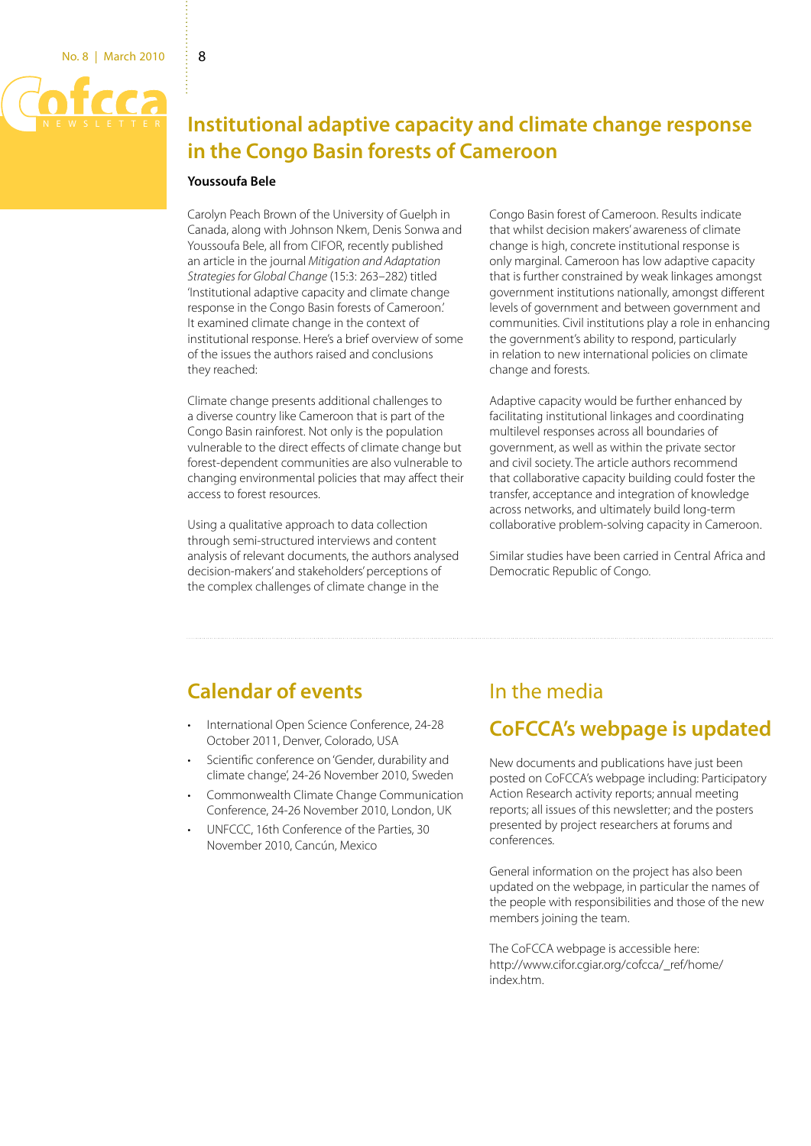

# **Institutional adaptive capacity and climate change response in the Congo Basin forests of Cameroon**

### **Youssoufa Bele**

Carolyn Peach Brown of the University of Guelph in Canada, along with Johnson Nkem, Denis Sonwa and Youssoufa Bele, all from CIFOR, recently published an article in the journal *Mitigation and Adaptation Strategies for Global Change* (15:3: 263–282) titled 'Institutional adaptive capacity and climate change response in the Congo Basin forests of Cameroon.' It examined climate change in the context of institutional response. Here's a brief overview of some of the issues the authors raised and conclusions they reached:

Climate change presents additional challenges to a diverse country like Cameroon that is part of the Congo Basin rainforest. Not only is the population vulnerable to the direct effects of climate change but forest-dependent communities are also vulnerable to changing environmental policies that may affect their access to forest resources.

Using a qualitative approach to data collection through semi-structured interviews and content analysis of relevant documents, the authors analysed decision-makers' and stakeholders' perceptions of the complex challenges of climate change in the

Congo Basin forest of Cameroon. Results indicate that whilst decision makers' awareness of climate change is high, concrete institutional response is only marginal. Cameroon has low adaptive capacity that is further constrained by weak linkages amongst government institutions nationally, amongst different levels of government and between government and communities. Civil institutions play a role in enhancing the government's ability to respond, particularly in relation to new international policies on climate change and forests.

Adaptive capacity would be further enhanced by facilitating institutional linkages and coordinating multilevel responses across all boundaries of government, as well as within the private sector and civil society. The article authors recommend that collaborative capacity building could foster the transfer, acceptance and integration of knowledge across networks, and ultimately build long-term collaborative problem-solving capacity in Cameroon.

Similar studies have been carried in Central Africa and Democratic Republic of Congo.

# **Calendar of events**

- International Open Science Conference, 24-28 October 2011, Denver, Colorado, USA
- Scientific conference on 'Gender, durability and climate change', 24-26 November 2010, Sweden
- Commonwealth Climate Change Communication Conference, 24-26 November 2010, London, UK
- UNFCCC, 16th Conference of the Parties, 30 November 2010, Cancún, Mexico

# In the media

# **CoFCCA's webpage is updated**

New documents and publications have just been posted on CoFCCA's webpage including: Participatory Action Research activity reports; annual meeting reports; all issues of this newsletter; and the posters presented by project researchers at forums and conferences.

General information on the project has also been updated on the webpage, in particular the names of the people with responsibilities and those of the new members joining the team.

The CoFCCA webpage is accessible here: http://www.cifor.cgiar.org/cofcca/\_ref/home/ index.htm.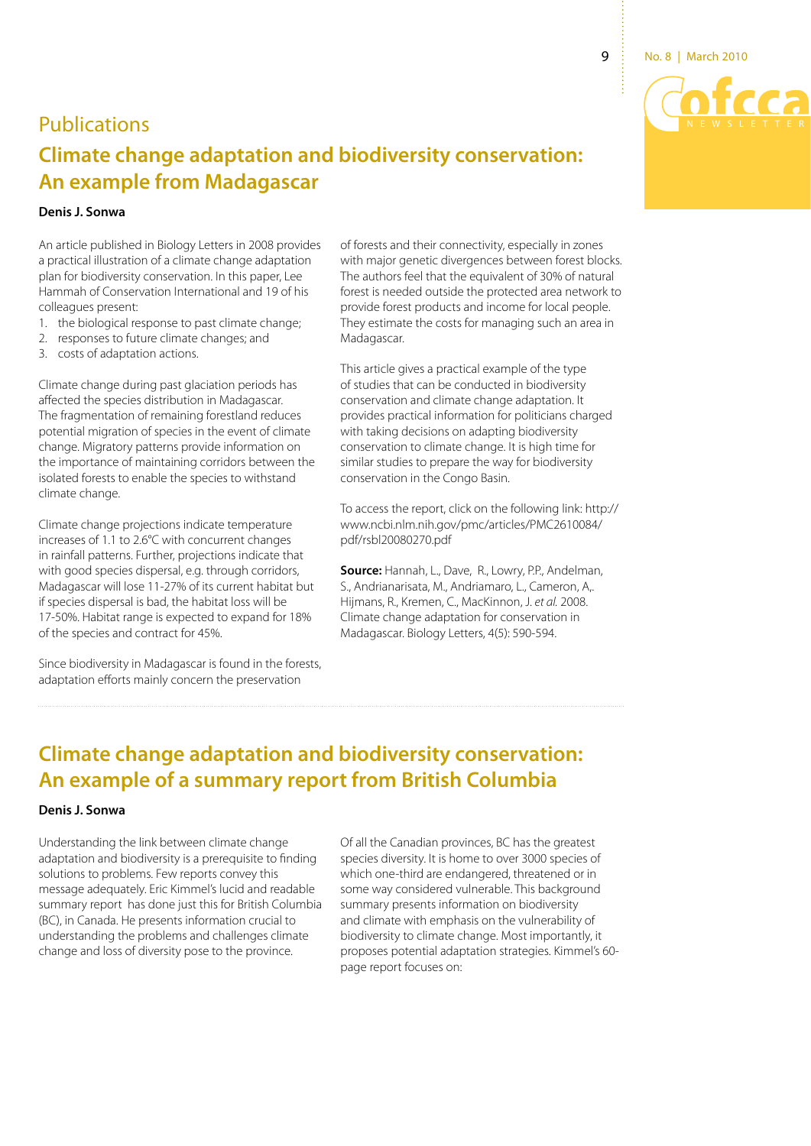9 No. 8 | March 2010

# **Publications**

# **Climate change adaptation and biodiversity conservation: An example from Madagascar**

## **Denis J. Sonwa**

An article published in Biology Letters in 2008 provides a practical illustration of a climate change adaptation plan for biodiversity conservation. In this paper, Lee Hammah of Conservation International and 19 of his colleagues present:

- 1. the biological response to past climate change;
- 2. responses to future climate changes; and
- 3. costs of adaptation actions.

Climate change during past glaciation periods has affected the species distribution in Madagascar. The fragmentation of remaining forestland reduces potential migration of species in the event of climate change. Migratory patterns provide information on the importance of maintaining corridors between the isolated forests to enable the species to withstand climate change.

Climate change projections indicate temperature increases of 1.1 to 2.6°C with concurrent changes in rainfall patterns. Further, projections indicate that with good species dispersal, e.g. through corridors, Madagascar will lose 11-27% of its current habitat but if species dispersal is bad, the habitat loss will be 17-50%. Habitat range is expected to expand for 18% of the species and contract for 45%.

Since biodiversity in Madagascar is found in the forests, adaptation efforts mainly concern the preservation

of forests and their connectivity, especially in zones with major genetic divergences between forest blocks. The authors feel that the equivalent of 30% of natural forest is needed outside the protected area network to provide forest products and income for local people. They estimate the costs for managing such an area in Madagascar.

This article gives a practical example of the type of studies that can be conducted in biodiversity conservation and climate change adaptation. It provides practical information for politicians charged with taking decisions on adapting biodiversity conservation to climate change. It is high time for similar studies to prepare the way for biodiversity conservation in the Congo Basin.

To access the report, click on the following link: http:// www.ncbi.nlm.nih.gov/pmc/articles/PMC2610084/ pdf/rsbl20080270.pdf

**Source:** Hannah, L., Dave, R., Lowry, P.P., Andelman, S., Andrianarisata, M., Andriamaro, L., Cameron, A,. Hijmans, R., Kremen, C., MacKinnon, J. *et al.* 2008. Climate change adaptation for conservation in Madagascar. Biology Letters, 4(5): 590-594.

# **Climate change adaptation and biodiversity conservation: An example of a summary report from British Columbia**

### **Denis J. Sonwa**

Understanding the link between climate change adaptation and biodiversity is a prerequisite to finding solutions to problems. Few reports convey this message adequately. Eric Kimmel's lucid and readable summary report has done just this for British Columbia (BC), in Canada. He presents information crucial to understanding the problems and challenges climate change and loss of diversity pose to the province.

Of all the Canadian provinces, BC has the greatest species diversity. It is home to over 3000 species of which one-third are endangered, threatened or in some way considered vulnerable. This background summary presents information on biodiversity and climate with emphasis on the vulnerability of biodiversity to climate change. Most importantly, it proposes potential adaptation strategies. Kimmel's 60 page report focuses on: